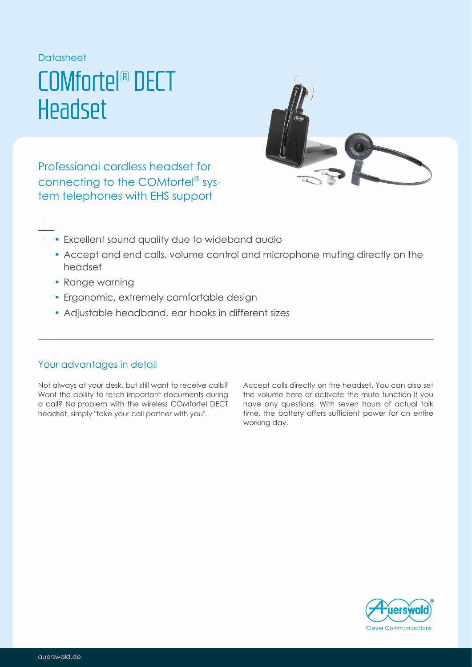**Datasheet** 

# COMfortel® DECT Headset



Professional cordless headset for connecting to the COMfortel® system telephones with EHS support

- Excellent sound quality due to wideband audio
- Accept and end calls, volume control and microphone muting directly on the headset
- Range warning
- Ergonomic, extremely comfortable design
- Adjustable headband, ear hooks in different sizes

# Your advantages in detail

Not always at your desk, but still want to receive calls? Want the ability to fetch important documents during a call? No problem with the wireless COMfortel DECT headset, simply "take your call partner with you".

Accept calls directly on the headset. You can also set the volume here or activate the mute function if you have any questions. With seven hours of actual talk time, the battery offers sufficient power for an entire working day.